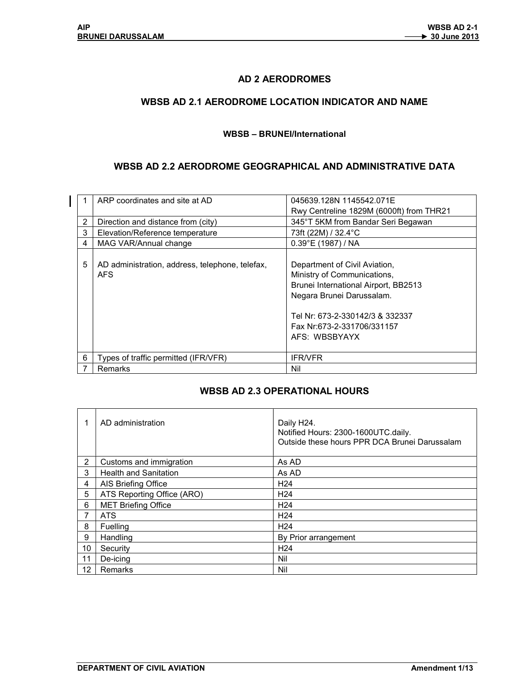$\mathsf{l}$ 

## AD 2 AERODROMES

### WBSB AD 2.1 AERODROME LOCATION INDICATOR AND NAME

#### WBSB – BRUNEI/International

### WBSB AD 2.2 AERODROME GEOGRAPHICAL AND ADMINISTRATIVE DATA

|   | ARP coordinates and site at AD                          | 045639.128N 1145542.071E                                                                                                                                                                                            |
|---|---------------------------------------------------------|---------------------------------------------------------------------------------------------------------------------------------------------------------------------------------------------------------------------|
|   |                                                         | Rwy Centreline 1829M (6000ft) from THR21                                                                                                                                                                            |
| 2 | Direction and distance from (city)                      | 345°T 5KM from Bandar Seri Begawan                                                                                                                                                                                  |
| 3 | Elevation/Reference temperature                         | 73ft (22M) / 32.4°C                                                                                                                                                                                                 |
| 4 | MAG VAR/Annual change                                   | $0.39^{\circ}E(1987)/NA$                                                                                                                                                                                            |
| 5 | AD administration, address, telephone, telefax,<br>AFS. | Department of Civil Aviation,<br>Ministry of Communications,<br>Brunei International Airport, BB2513<br>Negara Brunei Darussalam.<br>Tel Nr: 673-2-330142/3 & 332337<br>Fax Nr:673-2-331706/331157<br>AFS: WBSBYAYX |
| 6 | Types of traffic permitted (IFR/VFR)                    | <b>IFR/VFR</b>                                                                                                                                                                                                      |
| 7 | <b>Remarks</b>                                          | Nil                                                                                                                                                                                                                 |

#### WBSB AD 2.3 OPERATIONAL HOURS

|                   | AD administration            | Daily H24.<br>Notified Hours: 2300-1600UTC.daily.<br>Outside these hours PPR DCA Brunei Darussalam |
|-------------------|------------------------------|----------------------------------------------------------------------------------------------------|
| 2                 | Customs and immigration      | As AD                                                                                              |
| 3                 | <b>Health and Sanitation</b> | As AD                                                                                              |
| 4                 | AIS Briefing Office          | H <sub>24</sub>                                                                                    |
| 5                 | ATS Reporting Office (ARO)   | H <sub>24</sub>                                                                                    |
| 6                 | <b>MET Briefing Office</b>   | H <sub>24</sub>                                                                                    |
| 7                 | <b>ATS</b>                   | H <sub>24</sub>                                                                                    |
| 8                 | Fuelling                     | H <sub>24</sub>                                                                                    |
| 9                 | Handling                     | By Prior arrangement                                                                               |
| 10                | Security                     | H <sub>24</sub>                                                                                    |
| 11                | De-icing                     | Nil                                                                                                |
| $12 \overline{ }$ | Remarks                      | Nil                                                                                                |